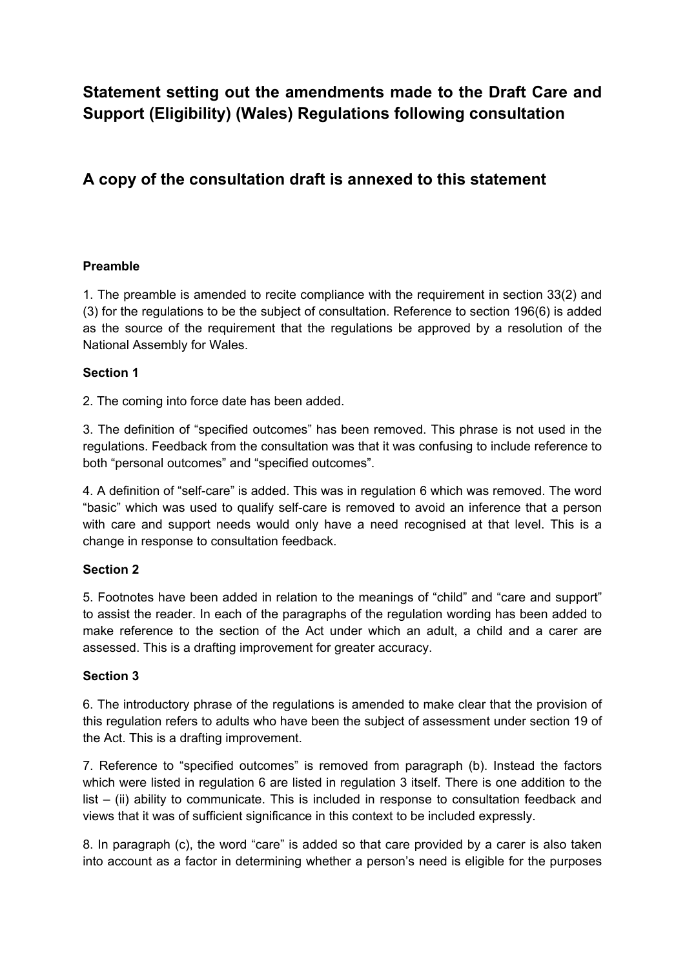**Statement setting out the amendments made to the Draft Care and Support (Eligibility) (Wales) Regulations following consultation**

# **A copy of the consultation draft is annexed to this statement**

# **Preamble**

1. The preamble is amended to recite compliance with the requirement in section 33(2) and (3) for the regulations to be the subject of consultation. Reference to section 196(6) is added as the source of the requirement that the regulations be approved by a resolution of the National Assembly for Wales.

## **Section 1**

2. The coming into force date has been added.

3. The definition of "specified outcomes" has been removed. This phrase is not used in the regulations. Feedback from the consultation was that it was confusing to include reference to both "personal outcomes" and "specified outcomes".

4. A definition of "self-care" is added. This was in regulation 6 which was removed. The word "basic" which was used to qualify self-care is removed to avoid an inference that a person with care and support needs would only have a need recognised at that level. This is a change in response to consultation feedback.

#### **Section 2**

5. Footnotes have been added in relation to the meanings of "child" and "care and support" to assist the reader. In each of the paragraphs of the regulation wording has been added to make reference to the section of the Act under which an adult, a child and a carer are assessed. This is a drafting improvement for greater accuracy.

# **Section 3**

6. The introductory phrase of the regulations is amended to make clear that the provision of this regulation refers to adults who have been the subject of assessment under section 19 of the Act. This is a drafting improvement.

7. Reference to "specified outcomes" is removed from paragraph (b). Instead the factors which were listed in regulation 6 are listed in regulation 3 itself. There is one addition to the list – (ii) ability to communicate. This is included in response to consultation feedback and views that it was of sufficient significance in this context to be included expressly.

8. In paragraph (c), the word "care" is added so that care provided by a carer is also taken into account as a factor in determining whether a person's need is eligible for the purposes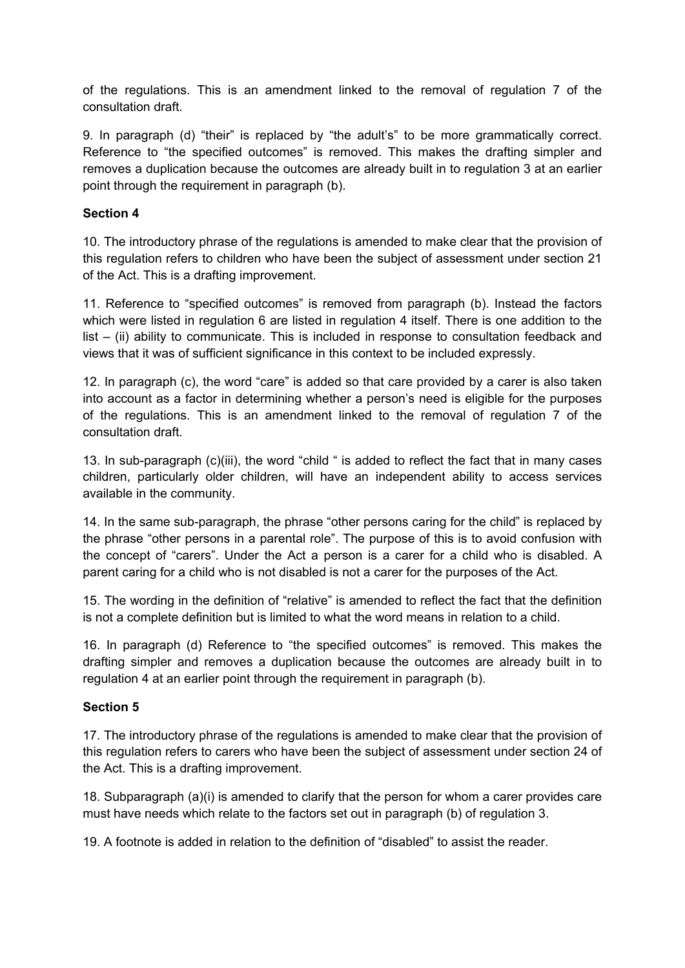of the regulations. This is an amendment linked to the removal of regulation 7 of the consultation draft.

9. In paragraph (d) "their" is replaced by "the adult's" to be more grammatically correct. Reference to "the specified outcomes" is removed. This makes the drafting simpler and removes a duplication because the outcomes are already built in to regulation 3 at an earlier point through the requirement in paragraph (b).

## **Section 4**

10. The introductory phrase of the regulations is amended to make clear that the provision of this regulation refers to children who have been the subject of assessment under section 21 of the Act. This is a drafting improvement.

11. Reference to "specified outcomes" is removed from paragraph (b). Instead the factors which were listed in regulation 6 are listed in regulation 4 itself. There is one addition to the list – (ii) ability to communicate. This is included in response to consultation feedback and views that it was of sufficient significance in this context to be included expressly.

12. In paragraph (c), the word "care" is added so that care provided by a carer is also taken into account as a factor in determining whether a person's need is eligible for the purposes of the regulations. This is an amendment linked to the removal of regulation 7 of the consultation draft.

13. In sub-paragraph (c)(iii), the word "child " is added to reflect the fact that in many cases children, particularly older children, will have an independent ability to access services available in the community.

14. In the same sub-paragraph, the phrase "other persons caring for the child" is replaced by the phrase "other persons in a parental role". The purpose of this is to avoid confusion with the concept of "carers". Under the Act a person is a carer for a child who is disabled. A parent caring for a child who is not disabled is not a carer for the purposes of the Act.

15. The wording in the definition of "relative" is amended to reflect the fact that the definition is not a complete definition but is limited to what the word means in relation to a child.

16. In paragraph (d) Reference to "the specified outcomes" is removed. This makes the drafting simpler and removes a duplication because the outcomes are already built in to regulation 4 at an earlier point through the requirement in paragraph (b).

#### **Section 5**

17. The introductory phrase of the regulations is amended to make clear that the provision of this regulation refers to carers who have been the subject of assessment under section 24 of the Act. This is a drafting improvement.

18. Subparagraph (a)(i) is amended to clarify that the person for whom a carer provides care must have needs which relate to the factors set out in paragraph (b) of regulation 3.

19. A footnote is added in relation to the definition of "disabled" to assist the reader.